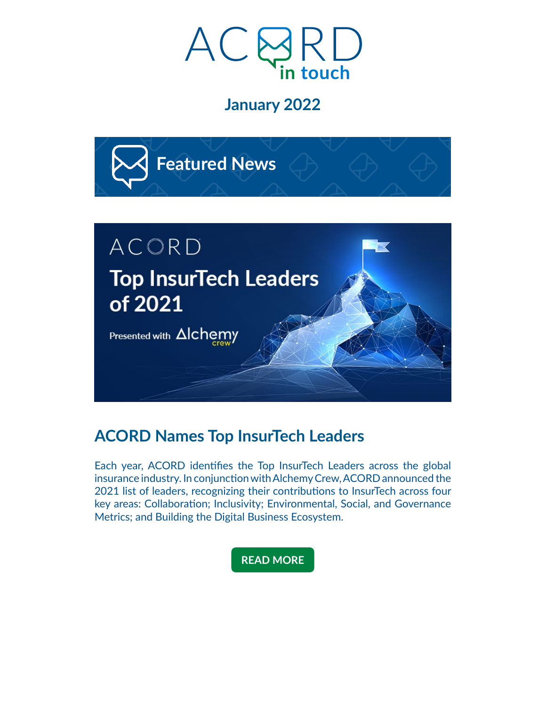

### **January 2022**



# **ACORD Names Top InsurTech Leaders**

Each year, ACORD identifies the Top InsurTech Leaders across the global insurance industry. In conjunction with Alchemy Crew, ACORD announced the 2021 list of leaders, recognizing their contributions to InsurTech across four key areas: Collaboration; Inclusivity; Environmental, Social, and Governance Metrics; and Building the Digital Business Ecosystem.

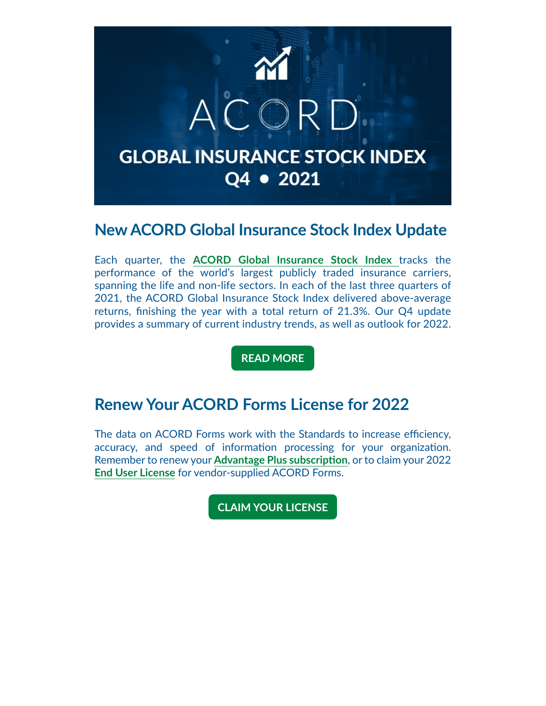

### **New ACORD Global Insurance Stock Index Update**

Each quarter, the **[ACORD Global Insurance Stock Index](https://acord.createsend1.com/t/d-i-ahljyyd-l-i/)** tracks the performance of the world's largest publicly traded insurance carriers, spanning the life and non-life sectors. In each of the last three quarters of 2021, the ACORD Global Insurance Stock Index delivered above-average returns, finishing the year with a total return of 21.3%. Our Q4 update provides a summary of current industry trends, as well as outlook for 2022.

**[READ MORE](https://acord.createsend1.com/t/d-i-ahljyyd-l-d/)**

#### **Renew Your ACORD Forms License for 2022**

The data on ACORD Forms work with the Standards to increase efficiency, accuracy, and speed of information processing for your organization. Remember to renew your **[Advantage Plus subscription](https://acord.createsend1.com/t/d-i-ahljyyd-l-h/)**, or to claim your 2022 **[End User License](https://acord.createsend1.com/t/d-i-ahljyyd-l-k/)** for vendor-supplied ACORD Forms.

**[CLAIM YOUR LICENSE](https://acord.createsend1.com/t/d-i-ahljyyd-l-u/)**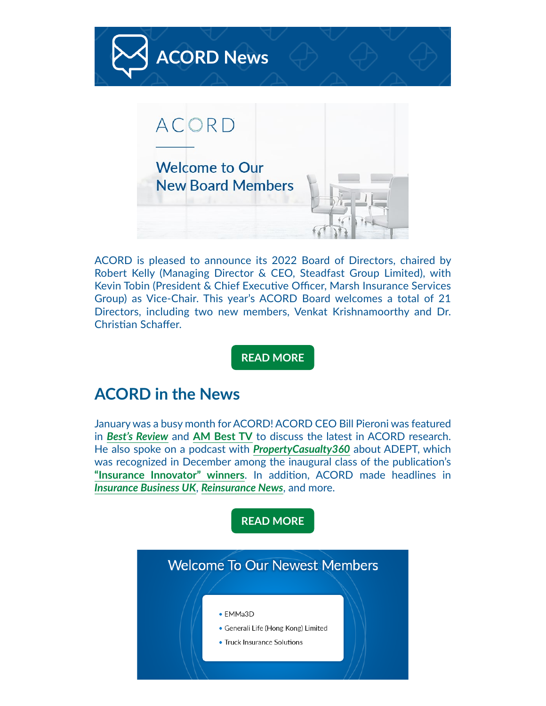

ACORD is pleased to announce its 2022 Board of Directors, chaired by Robert Kelly (Managing Director & CEO, Steadfast Group Limited), with Kevin Tobin (President & Chief Executive Officer, Marsh Insurance Services Group) as Vice-Chair. This year's ACORD Board welcomes a total of 21 Directors, including two new members, Venkat Krishnamoorthy and Dr. Christian Schaffer.

**[READ MORE](https://acord.createsend1.com/t/d-i-ahljyyd-l-b/)**

#### **ACORD in the News**

January was a busy month for ACORD! ACORD CEO Bill Pieroni was featured in *[Best's Review](https://acord.createsend1.com/t/d-i-ahljyyd-l-n/)* and **[AM Best TV](https://acord.createsend1.com/t/d-i-ahljyyd-l-p/)** to discuss the latest in ACORD research. He also spoke on a podcast with *[PropertyCasualty360](https://acord.createsend1.com/t/d-i-ahljyyd-l-x/)* about ADEPT, which was recognized in December among the inaugural class of the publication's **["Insurance Innovator" winners](https://acord.createsend1.com/t/d-i-ahljyyd-l-m/)**. In addition, ACORD made headlines in *[Insurance Business UK](https://acord.createsend1.com/t/d-i-ahljyyd-l-c/)*, *[Reinsurance News](https://acord.createsend1.com/t/d-i-ahljyyd-l-q/)*, and more.

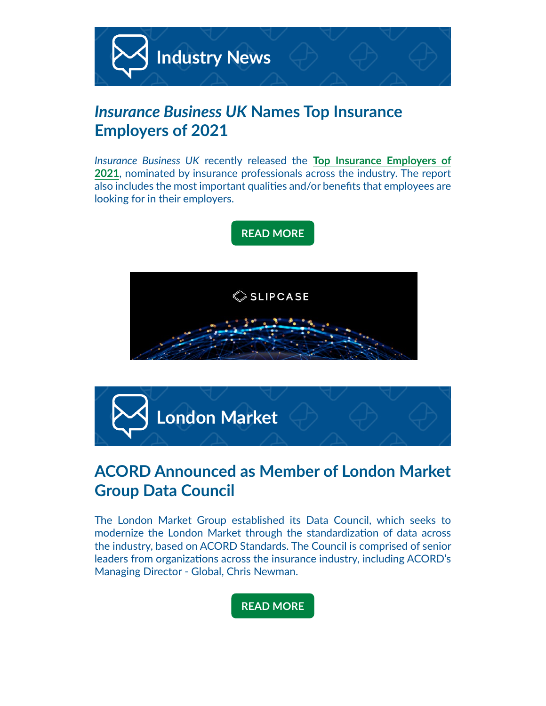

# *Insurance Business UK* **Names Top Insurance Employers of 2021**

*Insurance Business UK* recently released the **[Top Insurance Employers of](https://acord.createsend1.com/t/d-i-ahljyyd-l-f/)  [2021](https://acord.createsend1.com/t/d-i-ahljyyd-l-f/)**, nominated by insurance professionals across the industry. The report also includes the most important qualities and/or benefits that employees are looking for in their employers.





# **ACORD Announced as Member of London Market Group Data Council**

The London Market Group established its Data Council, which seeks to modernize the London Market through the standardization of data across the industry, based on ACORD Standards. The Council is comprised of senior leaders from organizations across the insurance industry, including ACORD's Managing Director - Global, Chris Newman.

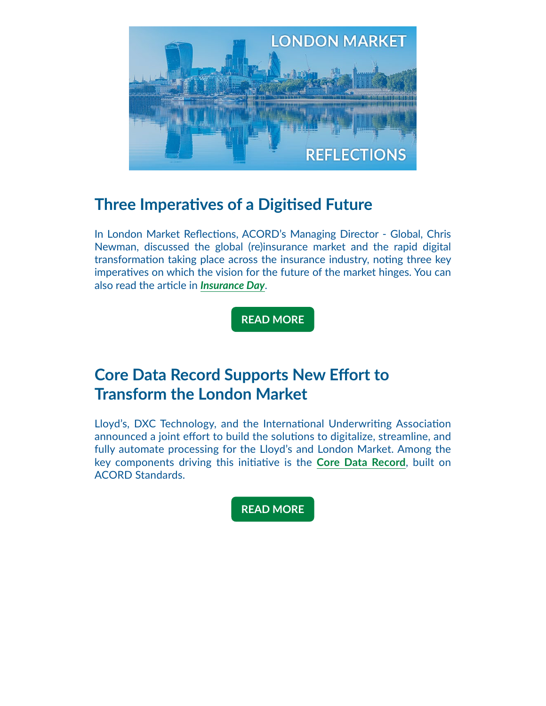

## **Three Imperatives of a Digitised Future**

In London Market Reflections, ACORD's Managing Director - Global, Chris Newman, discussed the global (re)insurance market and the rapid digital transformation taking place across the insurance industry, noting three key imperatives on which the vision for the future of the market hinges. You can also read the article in *[Insurance Day](https://acord.createsend1.com/t/d-i-ahljyyd-l-w/)*.

**[READ MORE](https://acord.createsend1.com/t/d-i-ahljyyd-l-yd/)**

# **Core Data Record Supports New Effort to Transform the London Market**

Lloyd's, DXC Technology, and the International Underwriting Association announced a joint effort to build the solutions to digitalize, streamline, and fully automate processing for the Lloyd's and London Market. Among the key components driving this initiative is the **[Core Data Record](https://acord.createsend1.com/t/d-i-ahljyyd-l-yh/)**, built on ACORD Standards.

**[READ MORE](https://acord.createsend1.com/t/d-i-ahljyyd-l-yk/)**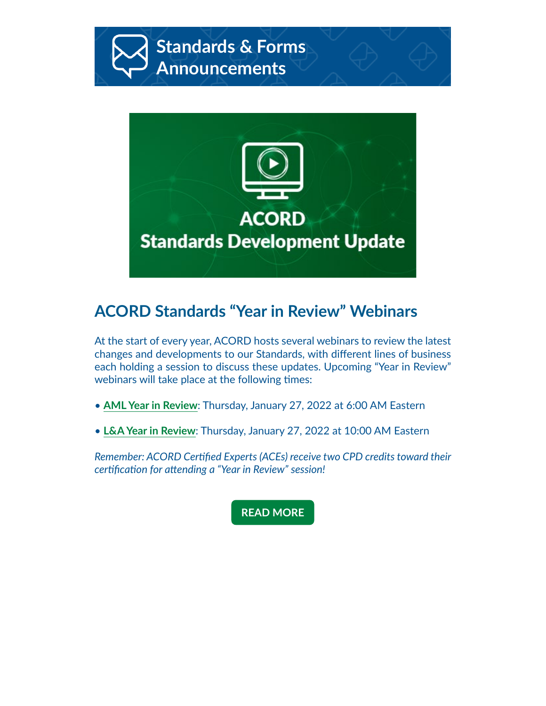

# **ACORD Standards "Year in Review" Webinars**

At the start of every year, ACORD hosts several webinars to review the latest changes and developments to our Standards, with different lines of business each holding a session to discuss these updates. Upcoming "Year in Review" webinars will take place at the following times:

**ACORD** 

**Standards Development Update** 

- **[AML Year in Review](https://acord.createsend1.com/t/d-i-ahljyyd-l-yu/)**: Thursday, January 27, 2022 at 6:00 AM Eastern
- **[L&A Year in Review](https://acord.createsend1.com/t/d-i-ahljyyd-l-jl/)**: Thursday, January 27, 2022 at 10:00 AM Eastern

*Remember: ACORD Certified Experts (ACEs) receive two CPD credits toward their certification for attending a "Year in Review" session!*

#### **[READ MORE](https://acord.createsend1.com/t/d-i-ahljyyd-l-jr/)**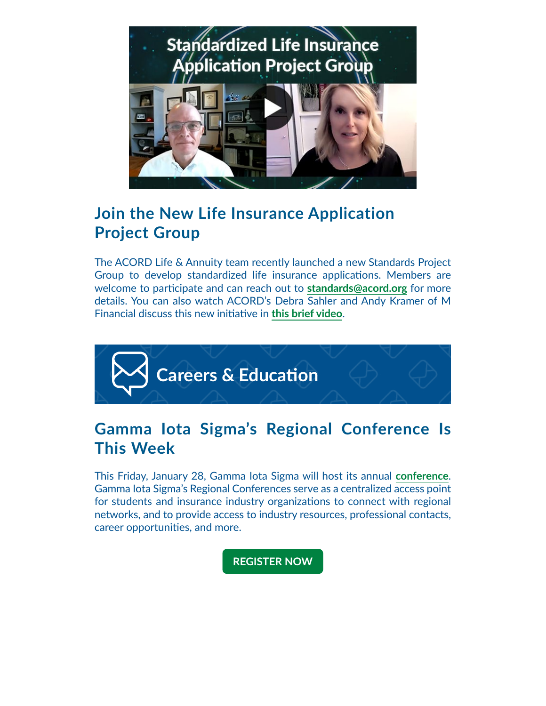

# **Join the New Life Insurance Application Project Group**

The ACORD Life & Annuity team recently launched a new Standards Project Group to develop standardized life insurance applications. Members are welcome to participate and can reach out to **[standards@acord.org](mailto:standards%40acord.org?subject=)** for more details. You can also watch ACORD's Debra Sahler and Andy Kramer of M Financial discuss this new initiative in **[this brief video](https://acord.createsend1.com/t/d-i-ahljyyd-l-jj/)**.



# **Gamma Iota Sigma's Regional Conference Is This Week**

This Friday, January 28, Gamma Iota Sigma will host its annual **[conference](https://acord.createsend1.com/t/d-i-ahljyyd-l-jt/)**. Gamma Iota Sigma's Regional Conferences serve as a centralized access point for students and insurance industry organizations to connect with regional networks, and to provide access to industry resources, professional contacts, career opportunities, and more.

**[REGISTER NOW](https://acord.createsend1.com/t/d-i-ahljyyd-l-ji/)**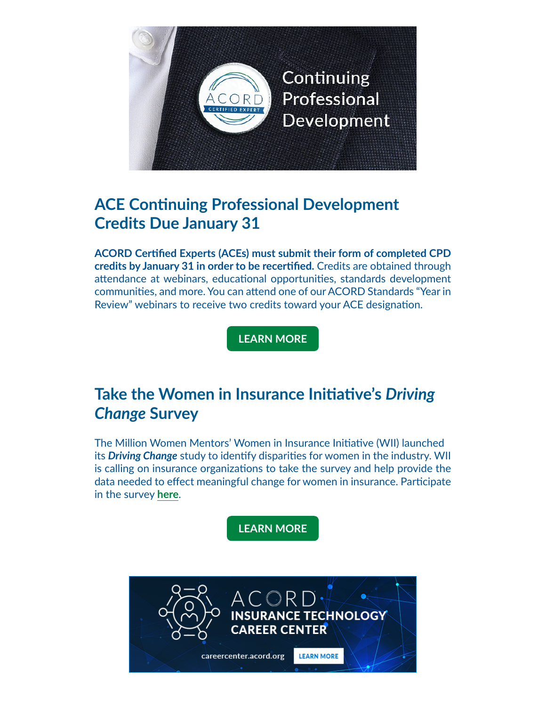

# **ACE Continuing Professional Development Credits Due January 31**

**ACORD Certified Experts (ACEs) must submit their form of completed CPD credits by January 31 in order to be recertified.** Credits are obtained through attendance at webinars, educational opportunities, standards development communities, and more. You can attend one of our ACORD Standards "Year in Review" webinars to receive two credits toward your ACE designation.

**[LEARN MORE](https://acord.createsend1.com/t/d-i-ahljyyd-l-jh/)**

# **Take the Women in Insurance Initiative's** *Driving Change* **Survey**

The Million Women Mentors' Women in Insurance Initiative (WII) launched its *Driving Change* study to identify disparities for women in the industry. WII is calling on insurance organizations to take the survey and help provide the data needed to effect meaningful change for women in insurance. Participate in the survey **[here](https://acord.createsend1.com/t/d-i-ahljyyd-l-jk/)**.

**[LEARN MORE](https://acord.createsend1.com/t/d-i-ahljyyd-l-ju/)**